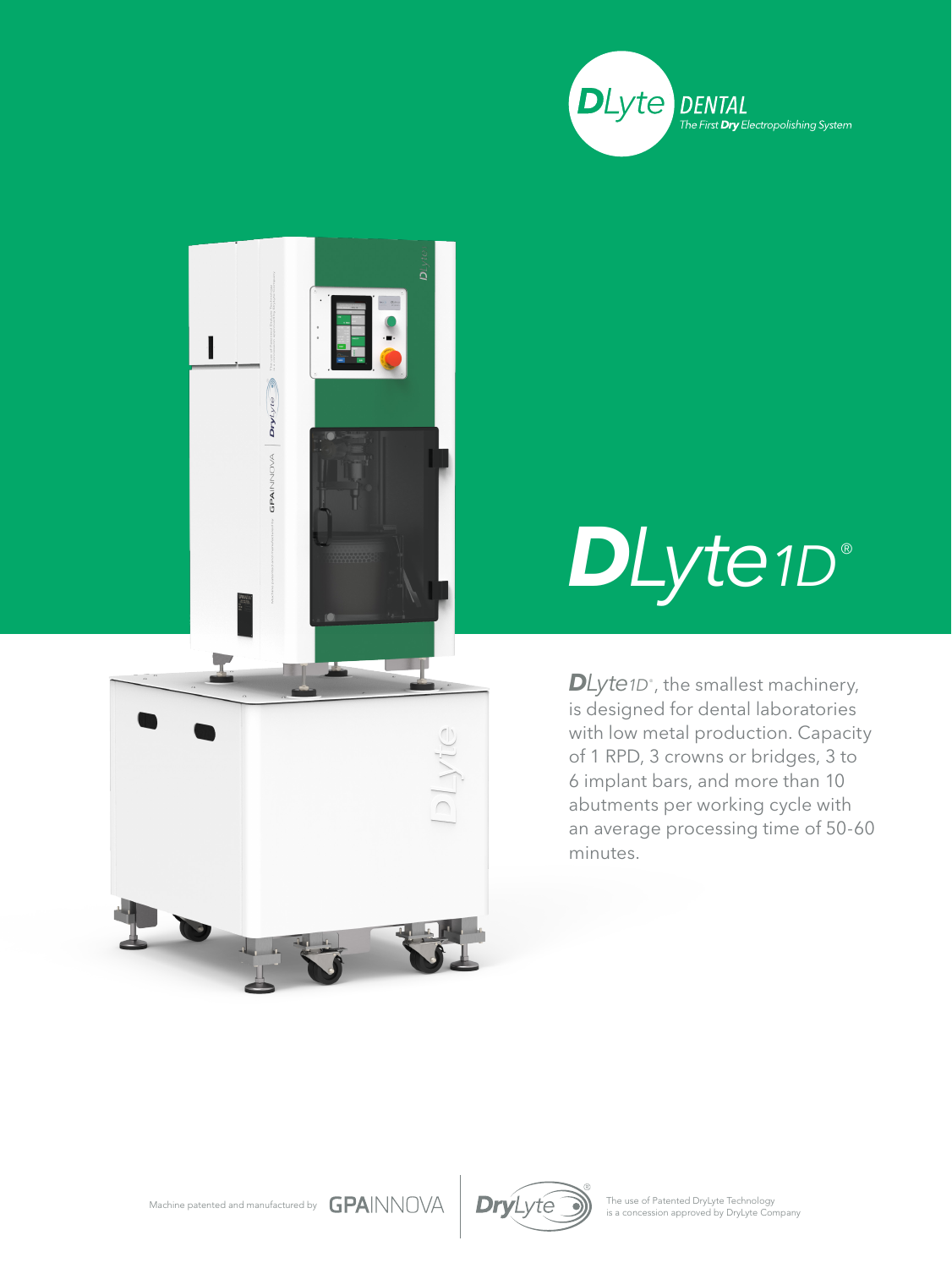



## *DLyte1D* ®

DLyte1D<sup>®</sup>, the smallest machinery, is designed for dental laboratories with low metal production. Capacity of 1 RPD, 3 crowns or bridges, 3 to 6 implant bars, and more than 10 abutments per working cycle with an average processing time of 50-60 minutes.





The use of Patented DryLyte Technology<br>is a concession approved by DryLyte Company